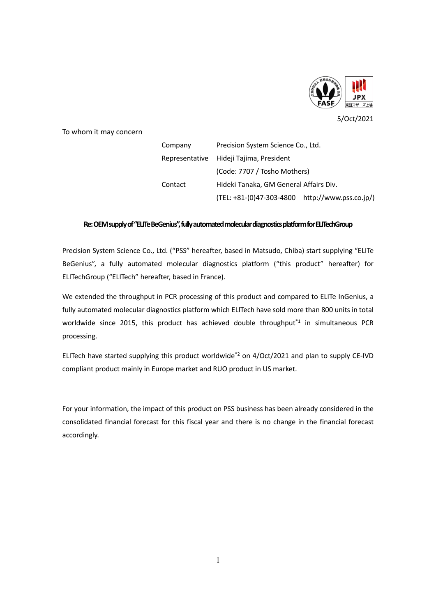

5/Oct/2021

To whom it may concern

Company Precision System Science Co., Ltd. Representative Hideji Tajima, President (Code: 7707 / Tosho Mothers) Contact Hideki Tanaka, GM General Affairs Div. (TEL: +81-(0)47-303-4800 http://www.pss.co.jp/)

## **Re: OEMsupplyof "ELITe BeGenius", fully automated molecular diagnostics platform for ELITechGroup**

Precision System Science Co., Ltd. ("PSS" hereafter, based in Matsudo, Chiba) start supplying "ELITe BeGenius", a fully automated molecular diagnostics platform ("this product" hereafter) for ELITechGroup ("ELITech" hereafter, based in France).

We extended the throughput in PCR processing of this product and compared to ELITe InGenius, a fully automated molecular diagnostics platform which ELITech have sold more than 800 units in total worldwide since 2015, this product has achieved double throughput<sup>\*1</sup> in simultaneous PCR processing.

ELITech have started supplying this product worldwide<sup>\*2</sup> on 4/Oct/2021 and plan to supply CE-IVD compliant product mainly in Europe market and RUO product in US market.

For your information, the impact of this product on PSS business has been already considered in the consolidated financial forecast for this fiscal year and there is no change in the financial forecast accordingly.